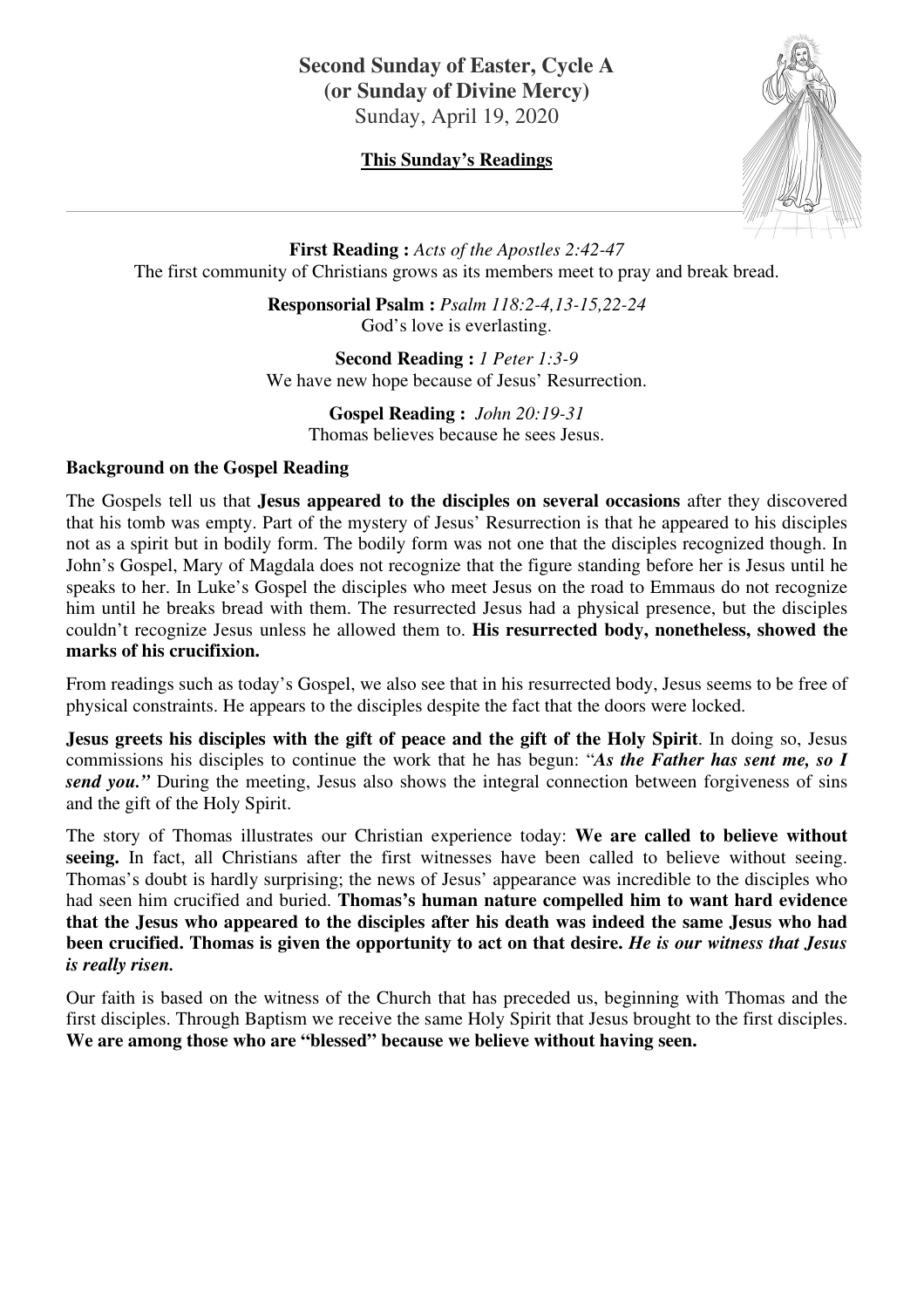## **Second Sunday of Easter, Cycle A (or Sunday of Divine Mercy)**  Sunday, April 19, 2020

## **This Sunday's Readings**



**First Reading :** *Acts of the Apostles 2:42-47* The first community of Christians grows as its members meet to pray and break bread.

> **Responsorial Psalm :** *Psalm 118:2-4,13-15,22-24* God's love is everlasting.

> **Second Reading :** *1 Peter 1:3-9* We have new hope because of Jesus' Resurrection.

> > **Gospel Reading :** *John 20:19-31* Thomas believes because he sees Jesus.

### **Background on the Gospel Reading**

The Gospels tell us that **Jesus appeared to the disciples on several occasions** after they discovered that his tomb was empty. Part of the mystery of Jesus' Resurrection is that he appeared to his disciples not as a spirit but in bodily form. The bodily form was not one that the disciples recognized though. In John's Gospel, Mary of Magdala does not recognize that the figure standing before her is Jesus until he speaks to her. In Luke's Gospel the disciples who meet Jesus on the road to Emmaus do not recognize him until he breaks bread with them. The resurrected Jesus had a physical presence, but the disciples couldn't recognize Jesus unless he allowed them to. **His resurrected body, nonetheless, showed the marks of his crucifixion.** 

From readings such as today's Gospel, we also see that in his resurrected body, Jesus seems to be free of physical constraints. He appears to the disciples despite the fact that the doors were locked.

**Jesus greets his disciples with the gift of peace and the gift of the Holy Spirit**. In doing so, Jesus commissions his disciples to continue the work that he has begun: "*As the Father has sent me, so I send you.*" During the meeting, Jesus also shows the integral connection between forgiveness of sins and the gift of the Holy Spirit.

The story of Thomas illustrates our Christian experience today: **We are called to believe without**  seeing. In fact, all Christians after the first witnesses have been called to believe without seeing. Thomas's doubt is hardly surprising; the news of Jesus' appearance was incredible to the disciples who had seen him crucified and buried. **Thomas's human nature compelled him to want hard evidence that the Jesus who appeared to the disciples after his death was indeed the same Jesus who had been crucified. Thomas is given the opportunity to act on that desire.** *He is our witness that Jesus is really risen.* 

Our faith is based on the witness of the Church that has preceded us, beginning with Thomas and the first disciples. Through Baptism we receive the same Holy Spirit that Jesus brought to the first disciples. **We are among those who are "blessed" because we believe without having seen.**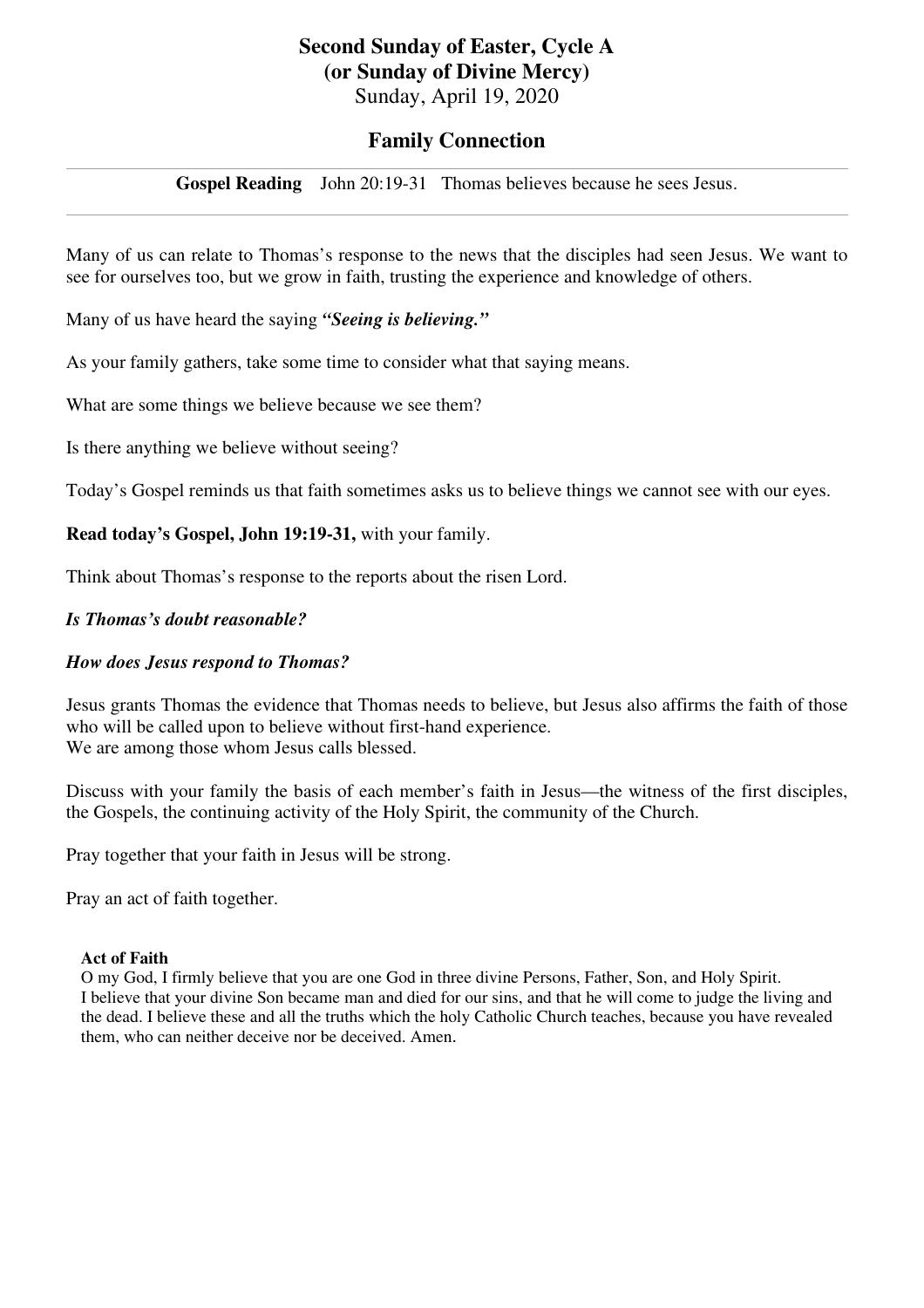# **Second Sunday of Easter, Cycle A (or Sunday of Divine Mercy)**

Sunday, April 19, 2020

## **Family Connection**

**Gospel Reading** John 20:19-31 Thomas believes because he sees Jesus.

Many of us can relate to Thomas's response to the news that the disciples had seen Jesus. We want to see for ourselves too, but we grow in faith, trusting the experience and knowledge of others.

Many of us have heard the saying *"Seeing is believing."*

As your family gathers, take some time to consider what that saying means.

What are some things we believe because we see them?

Is there anything we believe without seeing?

Today's Gospel reminds us that faith sometimes asks us to believe things we cannot see with our eyes.

## **Read today's Gospel, John 19:19-31,** with your family.

Think about Thomas's response to the reports about the risen Lord.

### *Is Thomas's doubt reasonable?*

## *How does Jesus respond to Thomas?*

Jesus grants Thomas the evidence that Thomas needs to believe, but Jesus also affirms the faith of those who will be called upon to believe without first-hand experience. We are among those whom Jesus calls blessed.

Discuss with your family the basis of each member's faith in Jesus—the witness of the first disciples, the Gospels, the continuing activity of the Holy Spirit, the community of the Church.

Pray together that your faith in Jesus will be strong.

Pray an act of faith together.

#### **Act of Faith**

O my God, I firmly believe that you are one God in three divine Persons, Father, Son, and Holy Spirit. I believe that your divine Son became man and died for our sins, and that he will come to judge the living and the dead. I believe these and all the truths which the holy Catholic Church teaches, because you have revealed them, who can neither deceive nor be deceived. Amen.